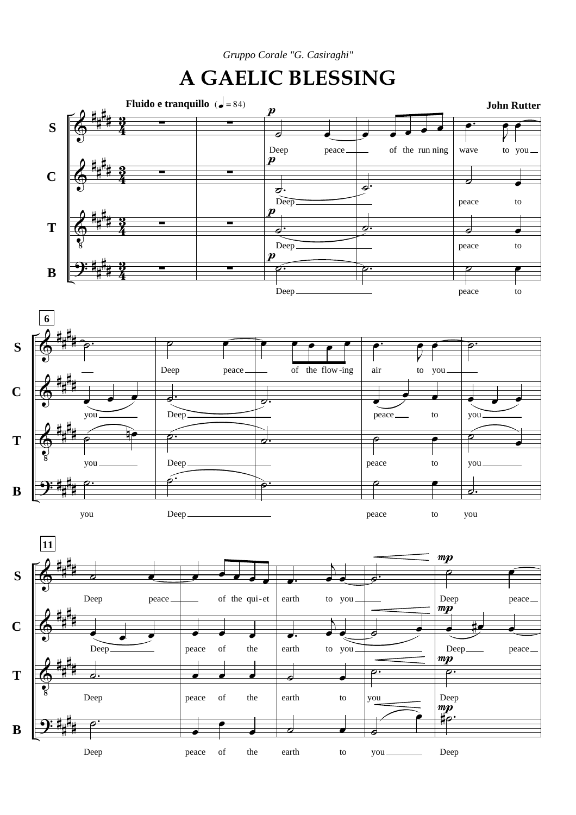*Gruppo Corale "G. Casiraghi"*

## **A GAELIC BLESSING**

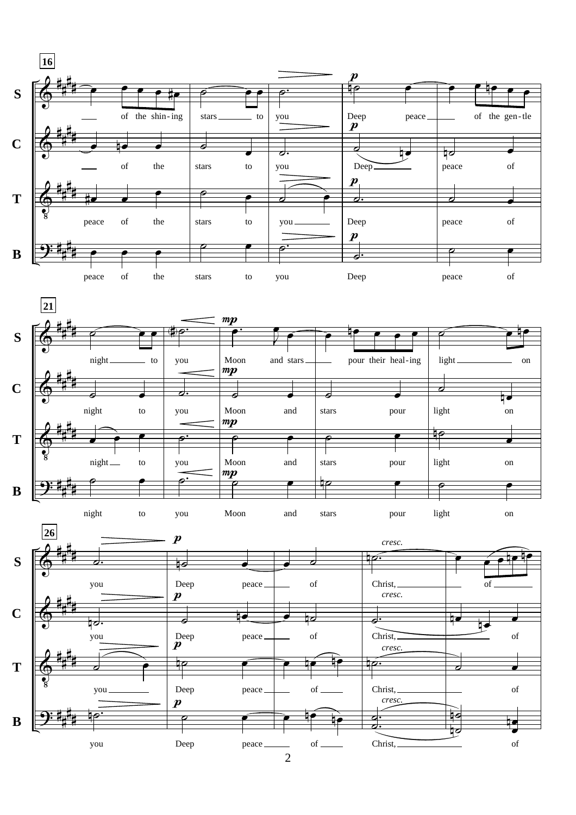